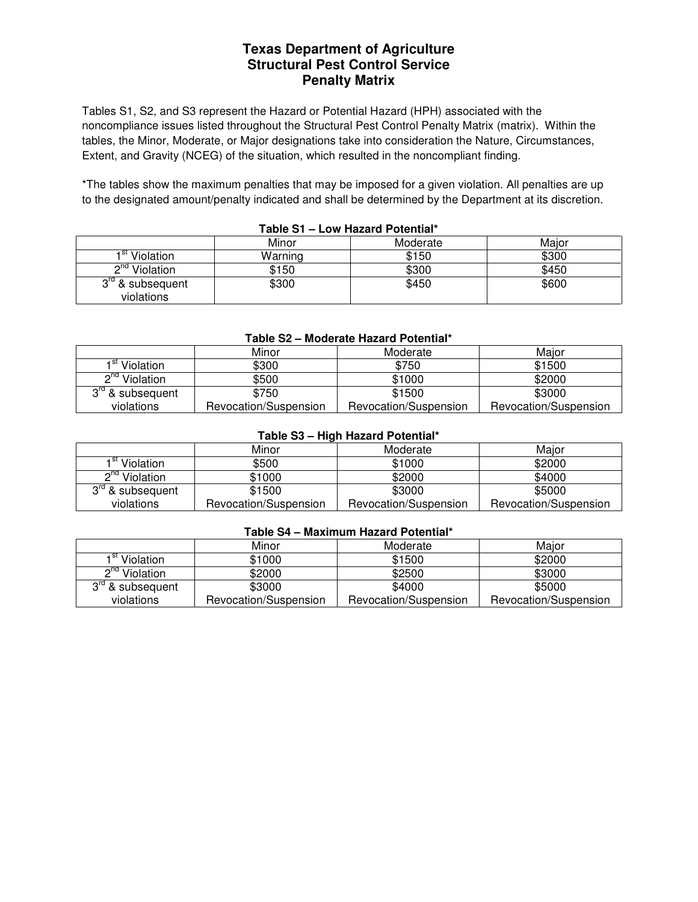# **Texas Department of Agriculture Structural Pest Control Service Penalty Matrix**

Tables S1, S2, and S3 represent the Hazard or Potential Hazard (HPH) associated with the noncompliance issues listed throughout the Structural Pest Control Penalty Matrix (matrix). Within the tables, the Minor, Moderate, or Major designations take into consideration the Nature, Circumstances, Extent, and Gravity (NCEG) of the situation, which resulted in the noncompliant finding.

\*The tables show the maximum penalties that may be imposed for a given violation. All penalties are up to the designated amount/penalty indicated and shall be determined by the Department at its discretion.

|                                            | Minor   | Moderate | Maior |
|--------------------------------------------|---------|----------|-------|
| 1 <sup>st</sup> Violation                  | Warning | \$150    | \$300 |
| ∩nd<br>Violation                           | \$150   | \$300    | \$450 |
| 3 <sup>rd</sup> & subsequent<br>violations | \$300   | \$450    | \$600 |

## **Table S1 – Low Hazard Potential\***

#### **Table S2 – Moderate Hazard Potential\***

|                              | Minor                 | Moderate              | Maior                 |
|------------------------------|-----------------------|-----------------------|-----------------------|
| 1 <sup>st</sup> Violation    | \$300                 | \$750                 | \$1500                |
| $\mathsf{a}$ nd<br>Violation | \$500                 | \$1000                | \$2000                |
| $3rd$ & subsequent           | \$750                 | \$1500                | \$3000                |
| violations                   | Revocation/Suspension | Revocation/Suspension | Revocation/Suspension |

#### **Table S3 – High Hazard Potential\***

|                              | Minor                 | Moderate              | Maior                 |
|------------------------------|-----------------------|-----------------------|-----------------------|
| 1 <sup>st</sup> Violation    | \$500                 | \$1000                | \$2000                |
| $\mathsf{a}$ nd<br>Violation | \$1000                | \$2000                | \$4000                |
| $3rd$ & subsequent           | \$1500                | \$3000                | \$5000                |
| violations                   | Revocation/Suspension | Revocation/Suspension | Revocation/Suspension |

## **Table S4 – Maximum Hazard Potential\***

|                           | Minor                 | Moderate              | Maior                 |
|---------------------------|-----------------------|-----------------------|-----------------------|
| 1 <sup>st</sup> Violation | \$1000                | \$1500                | \$2000                |
| $2nd$ Violation           | \$2000                | \$2500                | \$3000                |
| $3rd$ & subsequent        | \$3000                | \$4000                | \$5000                |
| violations                | Revocation/Suspension | Revocation/Suspension | Revocation/Suspension |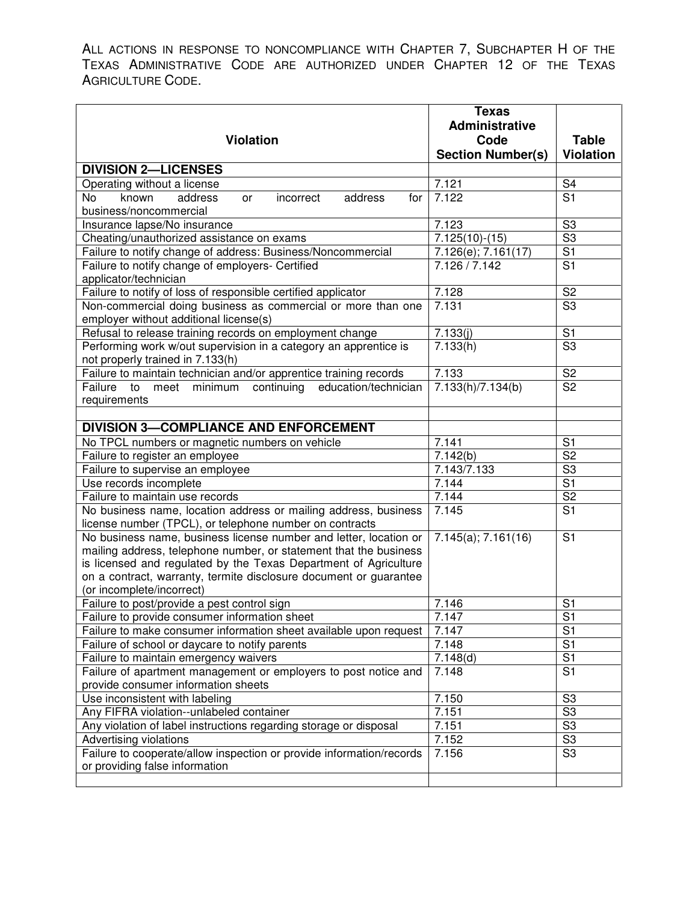ALL ACTIONS IN RESPONSE TO NONCOMPLIANCE WITH CHAPTER 7, SUBCHAPTER H OF THE TEXAS ADMINISTRATIVE CODE ARE AUTHORIZED UNDER CHAPTER 12 OF THE TEXAS AGRICULTURE CODE.

|                                                                      | <b>Texas</b>             |                          |
|----------------------------------------------------------------------|--------------------------|--------------------------|
|                                                                      | Administrative           |                          |
| <b>Violation</b>                                                     | Code                     | <b>Table</b>             |
|                                                                      | <b>Section Number(s)</b> | <b>Violation</b>         |
| <b>DIVISION 2-LICENSES</b>                                           |                          |                          |
| Operating without a license                                          | 7.121                    | S <sub>4</sub>           |
| No<br>known<br>address<br>incorrect<br>address<br>for<br>or          | 7.122                    | $\overline{S1}$          |
| business/noncommercial                                               |                          |                          |
| Insurance lapse/No insurance                                         | 7.123                    | S <sub>3</sub>           |
| Cheating/unauthorized assistance on exams                            | $7.125(10)-(15)$         | S3                       |
| Failure to notify change of address: Business/Noncommercial          | 7.126(e); 7.161(17)      | $\overline{S1}$          |
| Failure to notify change of employers- Certified                     | 7.126 / 7.142            | $\overline{S1}$          |
| applicator/technician                                                |                          |                          |
| Failure to notify of loss of responsible certified applicator        | 7.128                    | S <sub>2</sub>           |
| Non-commercial doing business as commercial or more than one         | 7.131                    | $\overline{\text{S3}}$   |
| employer without additional license(s)                               |                          |                          |
| Refusal to release training records on employment change             | 7.133(j)                 | S <sub>1</sub>           |
| Performing work w/out supervision in a category an apprentice is     | 7.133(h)                 | $\overline{\text{S3}}$   |
| not properly trained in 7.133(h)                                     |                          |                          |
| Failure to maintain technician and/or apprentice training records    | 7.133                    | S <sub>2</sub>           |
| continuing<br>education/technician<br>Failure<br>meet minimum<br>to  | 7.133(h)/7.134(b)        | $\overline{\text{S2}}$   |
| requirements                                                         |                          |                          |
|                                                                      |                          |                          |
| <b>DIVISION 3-COMPLIANCE AND ENFORCEMENT</b>                         |                          |                          |
| No TPCL numbers or magnetic numbers on vehicle                       | 7.141                    | S <sub>1</sub>           |
| Failure to register an employee                                      | 7.142(b)                 | $\overline{\text{S2}}$   |
| Failure to supervise an employee                                     | 7.143/7.133              | $\overline{\mathsf{S}3}$ |
| Use records incomplete                                               | 7.144                    | $\overline{S1}$          |
| Failure to maintain use records                                      | 7.144                    | $\overline{\text{S2}}$   |
| No business name, location address or mailing address, business      | 7.145                    | $\overline{S1}$          |
| license number (TPCL), or telephone number on contracts              |                          |                          |
| No business name, business license number and letter, location or    | 7.145(a); 7.161(16)      | S <sub>1</sub>           |
| mailing address, telephone number, or statement that the business    |                          |                          |
| is licensed and regulated by the Texas Department of Agriculture     |                          |                          |
| on a contract, warranty, termite disclosure document or guarantee    |                          |                          |
| (or incomplete/incorrect)                                            |                          |                          |
| Failure to post/provide a pest control sign                          | 7.146                    | S <sub>1</sub>           |
| Failure to provide consumer information sheet                        | 7.147                    | S1                       |
| Failure to make consumer information sheet available upon request    | 7.147                    | $\overline{S1}$          |
| Failure of school or daycare to notify parents                       | 7.148                    | $\overline{S1}$          |
| Failure to maintain emergency waivers                                | 7.148(d)                 | $\overline{S1}$          |
| Failure of apartment management or employers to post notice and      | 7.148                    | $\overline{S1}$          |
| provide consumer information sheets                                  |                          |                          |
| Use inconsistent with labeling                                       | 7.150                    | S <sub>3</sub>           |
| Any FIFRA violation--unlabeled container                             | 7.151                    | $\overline{\text{S3}}$   |
| Any violation of label instructions regarding storage or disposal    | 7.151                    | $\overline{\text{S3}}$   |
| Advertising violations                                               | 7.152                    | S3                       |
| Failure to cooperate/allow inspection or provide information/records | 7.156                    | $\overline{\text{S3}}$   |
| or providing false information                                       |                          |                          |
|                                                                      |                          |                          |

֧֪֚֞֝֬֝֬֝֬֝֬֝֬֝